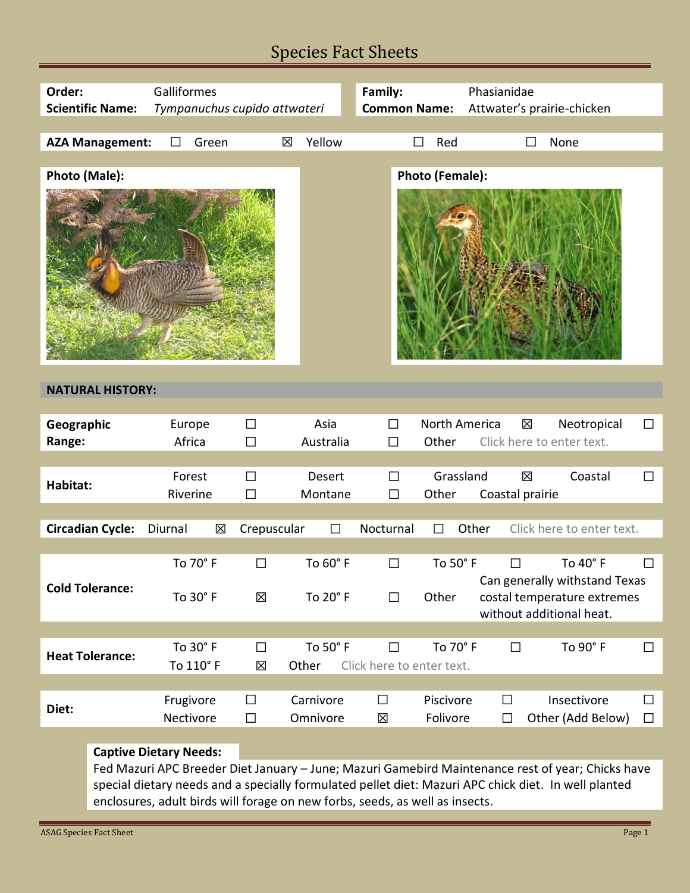## Species Fact Sheets

| Order:<br><b>Scientific Name:</b> | Galliformes<br>Tympanuchus cupido attwateri |                      |                          | Family:<br><b>Common Name:</b>      |                        | Phasianidae<br>Attwater's prairie-chicken                                                                      |                  |
|-----------------------------------|---------------------------------------------|----------------------|--------------------------|-------------------------------------|------------------------|----------------------------------------------------------------------------------------------------------------|------------------|
| <b>AZA Management:</b>            | Green<br>П                                  | 図                    | Yellow                   | П                                   | Red                    | None                                                                                                           |                  |
| Photo (Male):                     |                                             |                      |                          |                                     | Photo (Female):        |                                                                                                                |                  |
| <b>NATURAL HISTORY:</b>           |                                             |                      |                          |                                     |                        |                                                                                                                |                  |
| Geographic<br>Range:              | Europe<br>Africa                            | $\Box$<br>$\Box$     | Asia<br>Australia        | $\Box$<br>$\Box$                    | North America<br>Other | X<br>Neotropical<br>Click here to enter text.                                                                  | $\Box$           |
| Habitat:                          | Forest<br>Riverine                          | $\Box$<br>$\Box$     | <b>Desert</b><br>Montane | $\Box$<br>$\Box$                    | Grassland<br>Other     | 区<br>Coastal<br>Coastal prairie                                                                                | $\Box$           |
| <b>Circadian Cycle:</b>           | Diurnal<br>区                                | Crepuscular          | $\Box$                   | Nocturnal                           | $\Box$                 | Click here to enter text.<br>Other                                                                             |                  |
| <b>Cold Tolerance:</b>            | To 70° F<br>To 30° F                        | □<br>冈               | To 60° F<br>To 20° F     | □<br>$\Box$                         | To 50° F<br>Other      | To 40° F<br>$\Box$<br>Can generally withstand Texas<br>costal temperature extremes<br>without additional heat. |                  |
| <b>Heat Tolerance:</b>            | To 30° F<br>To 110° F                       | $\Box$<br>区<br>Other | To 50° F                 | $\Box$<br>Click here to enter text. | To 70° F               | To 90° F<br>$\Box$                                                                                             | $\Box$           |
| Diet:                             | Frugivore<br>Nectivore                      | $\Box$<br>$\Box$     | Carnivore<br>Omnivore    | $\Box$<br>X                         | Piscivore<br>Folivore  | Insectivore<br>$\Box$<br>Other (Add Below)<br>$\Box$                                                           | $\Box$<br>$\Box$ |
|                                   | <b>Captive Dietary Needs:</b>               |                      |                          |                                     |                        |                                                                                                                |                  |

Fed Mazuri APC Breeder Diet January – June; Mazuri Gamebird Maintenance rest of year; Chicks have special dietary needs and a specially formulated pellet diet: Mazuri APC chick diet. In well planted enclosures, adult birds will forage on new forbs, seeds, as well as insects.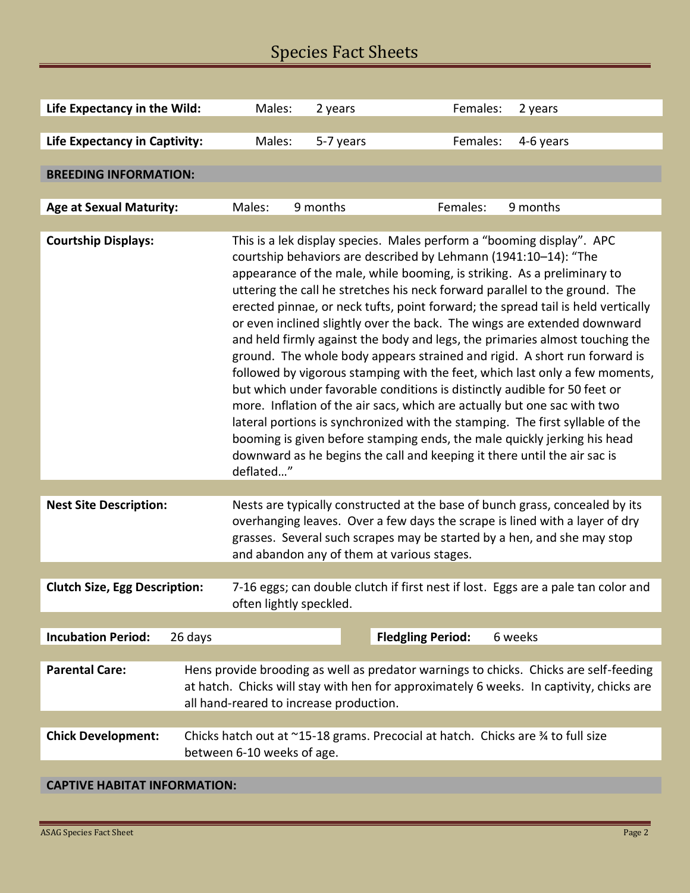# Species Fact Sheets

| Life Expectancy in the Wild:         |                                                                                                                                                                                                                             | Males:                                                                                                                                                                                                                                                                                                                                                                                                                                                                                                                                                                                                                                                                                                                                                                                                                                                                                                                                                                                                                                                                                                                        | 2 years   | Females:                 | 2 years   |  |  |
|--------------------------------------|-----------------------------------------------------------------------------------------------------------------------------------------------------------------------------------------------------------------------------|-------------------------------------------------------------------------------------------------------------------------------------------------------------------------------------------------------------------------------------------------------------------------------------------------------------------------------------------------------------------------------------------------------------------------------------------------------------------------------------------------------------------------------------------------------------------------------------------------------------------------------------------------------------------------------------------------------------------------------------------------------------------------------------------------------------------------------------------------------------------------------------------------------------------------------------------------------------------------------------------------------------------------------------------------------------------------------------------------------------------------------|-----------|--------------------------|-----------|--|--|
| <b>Life Expectancy in Captivity:</b> |                                                                                                                                                                                                                             | Males:                                                                                                                                                                                                                                                                                                                                                                                                                                                                                                                                                                                                                                                                                                                                                                                                                                                                                                                                                                                                                                                                                                                        | 5-7 years | Females:                 | 4-6 years |  |  |
|                                      |                                                                                                                                                                                                                             |                                                                                                                                                                                                                                                                                                                                                                                                                                                                                                                                                                                                                                                                                                                                                                                                                                                                                                                                                                                                                                                                                                                               |           |                          |           |  |  |
| <b>BREEDING INFORMATION:</b>         |                                                                                                                                                                                                                             |                                                                                                                                                                                                                                                                                                                                                                                                                                                                                                                                                                                                                                                                                                                                                                                                                                                                                                                                                                                                                                                                                                                               |           |                          |           |  |  |
|                                      |                                                                                                                                                                                                                             |                                                                                                                                                                                                                                                                                                                                                                                                                                                                                                                                                                                                                                                                                                                                                                                                                                                                                                                                                                                                                                                                                                                               |           |                          |           |  |  |
| <b>Age at Sexual Maturity:</b>       |                                                                                                                                                                                                                             | Males:                                                                                                                                                                                                                                                                                                                                                                                                                                                                                                                                                                                                                                                                                                                                                                                                                                                                                                                                                                                                                                                                                                                        | 9 months  | Females:                 | 9 months  |  |  |
| <b>Courtship Displays:</b>           |                                                                                                                                                                                                                             | This is a lek display species. Males perform a "booming display". APC<br>courtship behaviors are described by Lehmann (1941:10-14): "The<br>appearance of the male, while booming, is striking. As a preliminary to<br>uttering the call he stretches his neck forward parallel to the ground. The<br>erected pinnae, or neck tufts, point forward; the spread tail is held vertically<br>or even inclined slightly over the back. The wings are extended downward<br>and held firmly against the body and legs, the primaries almost touching the<br>ground. The whole body appears strained and rigid. A short run forward is<br>followed by vigorous stamping with the feet, which last only a few moments,<br>but which under favorable conditions is distinctly audible for 50 feet or<br>more. Inflation of the air sacs, which are actually but one sac with two<br>lateral portions is synchronized with the stamping. The first syllable of the<br>booming is given before stamping ends, the male quickly jerking his head<br>downward as he begins the call and keeping it there until the air sac is<br>deflated" |           |                          |           |  |  |
|                                      |                                                                                                                                                                                                                             |                                                                                                                                                                                                                                                                                                                                                                                                                                                                                                                                                                                                                                                                                                                                                                                                                                                                                                                                                                                                                                                                                                                               |           |                          |           |  |  |
| <b>Nest Site Description:</b>        |                                                                                                                                                                                                                             | Nests are typically constructed at the base of bunch grass, concealed by its<br>overhanging leaves. Over a few days the scrape is lined with a layer of dry<br>grasses. Several such scrapes may be started by a hen, and she may stop<br>and abandon any of them at various stages.                                                                                                                                                                                                                                                                                                                                                                                                                                                                                                                                                                                                                                                                                                                                                                                                                                          |           |                          |           |  |  |
|                                      |                                                                                                                                                                                                                             |                                                                                                                                                                                                                                                                                                                                                                                                                                                                                                                                                                                                                                                                                                                                                                                                                                                                                                                                                                                                                                                                                                                               |           |                          |           |  |  |
| <b>Clutch Size, Egg Description:</b> |                                                                                                                                                                                                                             | 7-16 eggs; can double clutch if first nest if lost. Eggs are a pale tan color and<br>often lightly speckled.                                                                                                                                                                                                                                                                                                                                                                                                                                                                                                                                                                                                                                                                                                                                                                                                                                                                                                                                                                                                                  |           |                          |           |  |  |
|                                      |                                                                                                                                                                                                                             |                                                                                                                                                                                                                                                                                                                                                                                                                                                                                                                                                                                                                                                                                                                                                                                                                                                                                                                                                                                                                                                                                                                               |           |                          |           |  |  |
| <b>Incubation Period:</b>            | 26 days                                                                                                                                                                                                                     |                                                                                                                                                                                                                                                                                                                                                                                                                                                                                                                                                                                                                                                                                                                                                                                                                                                                                                                                                                                                                                                                                                                               |           | <b>Fledgling Period:</b> | 6 weeks   |  |  |
| <b>Parental Care:</b>                | Hens provide brooding as well as predator warnings to chicks. Chicks are self-feeding<br>at hatch. Chicks will stay with hen for approximately 6 weeks. In captivity, chicks are<br>all hand-reared to increase production. |                                                                                                                                                                                                                                                                                                                                                                                                                                                                                                                                                                                                                                                                                                                                                                                                                                                                                                                                                                                                                                                                                                                               |           |                          |           |  |  |
|                                      |                                                                                                                                                                                                                             |                                                                                                                                                                                                                                                                                                                                                                                                                                                                                                                                                                                                                                                                                                                                                                                                                                                                                                                                                                                                                                                                                                                               |           |                          |           |  |  |
| <b>Chick Development:</b>            | Chicks hatch out at ~15-18 grams. Precocial at hatch. Chicks are 34 to full size<br>between 6-10 weeks of age.                                                                                                              |                                                                                                                                                                                                                                                                                                                                                                                                                                                                                                                                                                                                                                                                                                                                                                                                                                                                                                                                                                                                                                                                                                                               |           |                          |           |  |  |
|                                      |                                                                                                                                                                                                                             |                                                                                                                                                                                                                                                                                                                                                                                                                                                                                                                                                                                                                                                                                                                                                                                                                                                                                                                                                                                                                                                                                                                               |           |                          |           |  |  |

### **CAPTIVE HABITAT INFORMATION:**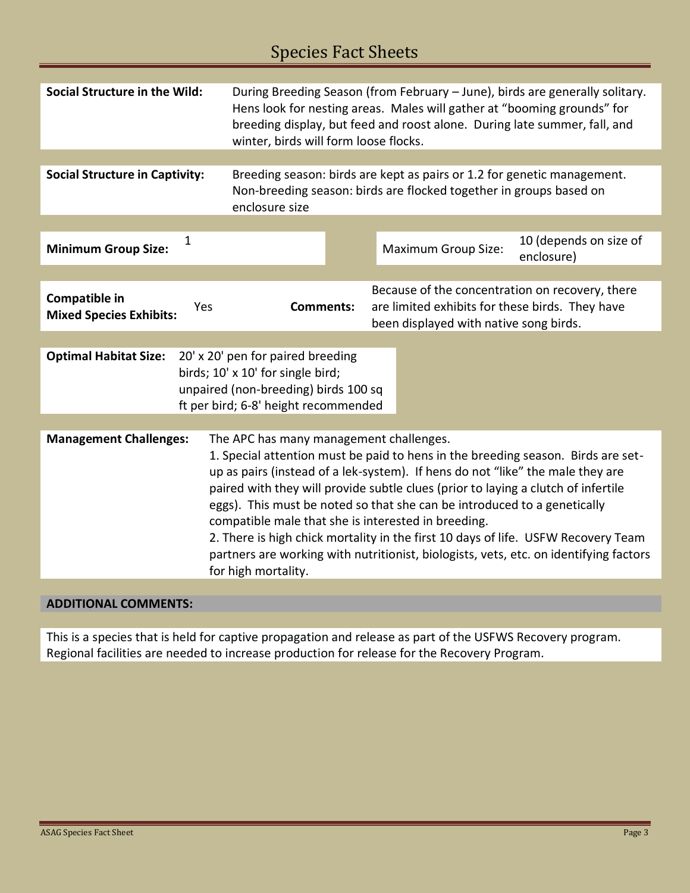# Species Fact Sheets

| <b>Social Structure in the Wild:</b>                                                                                                                                                                                                                                                                                                                                                                                                                                                                                                                                                                                                                                        | During Breeding Season (from February - June), birds are generally solitary.<br>Hens look for nesting areas. Males will gather at "booming grounds" for<br>breeding display, but feed and roost alone. During late summer, fall, and<br>winter, birds will form loose flocks. |                                                                                                                                              |  |  |  |  |
|-----------------------------------------------------------------------------------------------------------------------------------------------------------------------------------------------------------------------------------------------------------------------------------------------------------------------------------------------------------------------------------------------------------------------------------------------------------------------------------------------------------------------------------------------------------------------------------------------------------------------------------------------------------------------------|-------------------------------------------------------------------------------------------------------------------------------------------------------------------------------------------------------------------------------------------------------------------------------|----------------------------------------------------------------------------------------------------------------------------------------------|--|--|--|--|
|                                                                                                                                                                                                                                                                                                                                                                                                                                                                                                                                                                                                                                                                             |                                                                                                                                                                                                                                                                               |                                                                                                                                              |  |  |  |  |
| <b>Social Structure in Captivity:</b>                                                                                                                                                                                                                                                                                                                                                                                                                                                                                                                                                                                                                                       | Breeding season: birds are kept as pairs or 1.2 for genetic management.<br>Non-breeding season: birds are flocked together in groups based on<br>enclosure size                                                                                                               |                                                                                                                                              |  |  |  |  |
|                                                                                                                                                                                                                                                                                                                                                                                                                                                                                                                                                                                                                                                                             |                                                                                                                                                                                                                                                                               |                                                                                                                                              |  |  |  |  |
| 1<br><b>Minimum Group Size:</b>                                                                                                                                                                                                                                                                                                                                                                                                                                                                                                                                                                                                                                             |                                                                                                                                                                                                                                                                               | 10 (depends on size of<br>Maximum Group Size:<br>enclosure)                                                                                  |  |  |  |  |
|                                                                                                                                                                                                                                                                                                                                                                                                                                                                                                                                                                                                                                                                             |                                                                                                                                                                                                                                                                               |                                                                                                                                              |  |  |  |  |
| Compatible in<br>Yes<br><b>Mixed Species Exhibits:</b>                                                                                                                                                                                                                                                                                                                                                                                                                                                                                                                                                                                                                      | <b>Comments:</b>                                                                                                                                                                                                                                                              | Because of the concentration on recovery, there<br>are limited exhibits for these birds. They have<br>been displayed with native song birds. |  |  |  |  |
|                                                                                                                                                                                                                                                                                                                                                                                                                                                                                                                                                                                                                                                                             |                                                                                                                                                                                                                                                                               |                                                                                                                                              |  |  |  |  |
| <b>Optimal Habitat Size:</b><br>20' x 20' pen for paired breeding<br>birds; 10' x 10' for single bird;<br>unpaired (non-breeding) birds 100 sq<br>ft per bird; 6-8' height recommended                                                                                                                                                                                                                                                                                                                                                                                                                                                                                      |                                                                                                                                                                                                                                                                               |                                                                                                                                              |  |  |  |  |
| <b>Management Challenges:</b><br>The APC has many management challenges.<br>1. Special attention must be paid to hens in the breeding season. Birds are set-<br>up as pairs (instead of a lek-system). If hens do not "like" the male they are<br>paired with they will provide subtle clues (prior to laying a clutch of infertile<br>eggs). This must be noted so that she can be introduced to a genetically<br>compatible male that she is interested in breeding.<br>2. There is high chick mortality in the first 10 days of life. USFW Recovery Team<br>partners are working with nutritionist, biologists, vets, etc. on identifying factors<br>for high mortality. |                                                                                                                                                                                                                                                                               |                                                                                                                                              |  |  |  |  |
|                                                                                                                                                                                                                                                                                                                                                                                                                                                                                                                                                                                                                                                                             |                                                                                                                                                                                                                                                                               |                                                                                                                                              |  |  |  |  |

### **ADDITIONAL COMMENTS:**

This is a species that is held for captive propagation and release as part of the USFWS Recovery program. Regional facilities are needed to increase production for release for the Recovery Program.